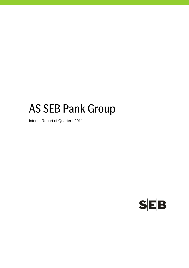# AS SEB Pank Group

Interim Report of Quarter I 2011

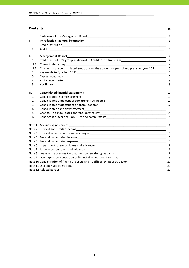#### **Contents** p.

| ı.<br>1.<br>2.<br>II.<br>Management Report <b>Example 2018</b> and 2018 and 2018 and 2018 and 2018 and 2018 and 2018 and 2018 and 2018 and 2018<br>Credit institution's group as defined in Credit Institutions Law___________________________________<br>1.<br>1.1.<br>Changes in the consolidated group during the accounting period and plans for year 2011______<br>1.2.<br>2. | 3<br>3<br>3<br>4<br>$\overline{4}$<br>4<br>5<br>5 |
|------------------------------------------------------------------------------------------------------------------------------------------------------------------------------------------------------------------------------------------------------------------------------------------------------------------------------------------------------------------------------------|---------------------------------------------------|
|                                                                                                                                                                                                                                                                                                                                                                                    |                                                   |
|                                                                                                                                                                                                                                                                                                                                                                                    |                                                   |
|                                                                                                                                                                                                                                                                                                                                                                                    |                                                   |
|                                                                                                                                                                                                                                                                                                                                                                                    |                                                   |
|                                                                                                                                                                                                                                                                                                                                                                                    |                                                   |
|                                                                                                                                                                                                                                                                                                                                                                                    |                                                   |
|                                                                                                                                                                                                                                                                                                                                                                                    |                                                   |
|                                                                                                                                                                                                                                                                                                                                                                                    |                                                   |
| 3.                                                                                                                                                                                                                                                                                                                                                                                 | $\overline{7}$                                    |
| 4.                                                                                                                                                                                                                                                                                                                                                                                 | 9                                                 |
| 5.                                                                                                                                                                                                                                                                                                                                                                                 | 9                                                 |
| III.                                                                                                                                                                                                                                                                                                                                                                               | 11                                                |
| Consolidated income statement<br>1.                                                                                                                                                                                                                                                                                                                                                |                                                   |
| Consolidated statement of comprehensive income entrance and all the statements of the statement of comprehensive income<br>2.                                                                                                                                                                                                                                                      |                                                   |
| 3.                                                                                                                                                                                                                                                                                                                                                                                 |                                                   |
| 4.                                                                                                                                                                                                                                                                                                                                                                                 |                                                   |
| 5.                                                                                                                                                                                                                                                                                                                                                                                 |                                                   |
| Contingent assets and liabilities and commitments example and continues are all the control of the control of<br>6.                                                                                                                                                                                                                                                                | 15                                                |
|                                                                                                                                                                                                                                                                                                                                                                                    | 16                                                |
| Note 2 Interest and similar income entrance and the state of the state of the state of the state of the state of the state of the state of the state of the state of the state of the state of the state of the state of the s                                                                                                                                                     |                                                   |
| Note 3 Interest expenses and similar charges<br><u>experimental contract and similar charges</u>                                                                                                                                                                                                                                                                                   | 17                                                |
|                                                                                                                                                                                                                                                                                                                                                                                    | 17                                                |
| Note 5<br>Fee and commission expense entrance and commission expense entrance and commission expense entrance and commission                                                                                                                                                                                                                                                       | 17                                                |
| Note 6                                                                                                                                                                                                                                                                                                                                                                             |                                                   |
|                                                                                                                                                                                                                                                                                                                                                                                    |                                                   |
| Note 8                                                                                                                                                                                                                                                                                                                                                                             |                                                   |
|                                                                                                                                                                                                                                                                                                                                                                                    |                                                   |
| Note 10 Concentration of financial assets and liabilities by industry sector<br>20                                                                                                                                                                                                                                                                                                 |                                                   |
|                                                                                                                                                                                                                                                                                                                                                                                    | 21                                                |
| Note 12 Related parties and the state of the state of the state of the state of the state of the state of the state of the state of the state of the state of the state of the state of the state of the state of the state of<br>$\sim$ 22                                                                                                                                        |                                                   |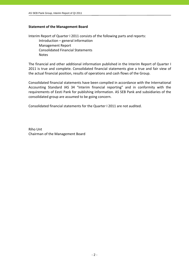## **Statement of the Management Board**

Interim Report of Quarter I 2011 consists of the following parts and reports: Introduction – general information Management Report Consolidated Financial Statements Notes

The financial and other additional information published in the Interim Report of Quarter I 2011 is true and complete. Consolidated financial statements give a true and fair view of the actual financial position, results of operations and cash flows of the Group.

Consolidated financial statements have been compiled in accordance with the International Accounting Standard IAS 34 "Interim financial reporting" and in conformity with the requirements of Eesti Pank for publishing information. AS SEB Pank and subsidiaries of the consolidated group are assumed to be going concern.

Consolidated financial statements for the Quarter I 2011 are not audited.

Riho Unt Chairman of the Management Board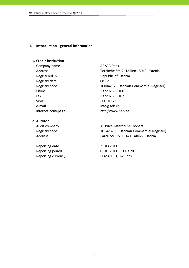## **I. Introduction ‐ general information**

## **1. Credit institution**

Company name AS SEB Pank Registered in Republic of Estonia Registry date 08.12.1995 Phone  $+3726655100$ Fax  $+3726655102$ SWIFT SWIFT ENGINEERS FEUHEF2X e-mail info@seb.ee Internet homepage http://www.seb.ee

## **2. Auditor**

Reporting date 31.03.2011

Address Tornimäe Str. 2, Tallinn 15010, Estonia Registry code 10004252 (Estonian Commercial Register)

Audit company and all the AS PricewaterhouseCoopers Registry code 10142876 (Estonian Commercial Register) Address Pärnu Str. 15, 10141 Tallinn, Estonia

Reporting period 01.01.2011 ‐ 31.03.2011 Reporting currency Euro (EUR), millions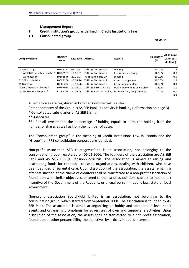## **II. Management Report**

## **1. Credit institution's group as defined in Credit Institutions Law**

## **1.1. Consolidated group**

 $31.03.11$ 

| Company name                  | Registry<br>code | Reg. date | <b>Address</b>        | Activity                                            | Holding***<br>(%) | At an acqui-<br>sition cost<br>(EURmio) |
|-------------------------------|------------------|-----------|-----------------------|-----------------------------------------------------|-------------------|-----------------------------------------|
| AS SEB Liising                | 10281767         | 03.10.97  | Tallinn, Tornimäe 2   | Leasing                                             | 100.0%            | 1.5                                     |
| AS SEB Kindlustus maakler*    | 10723587         | 16.01.01  | Tallinn. Tornimäe 2   | Insurance brokerage                                 | 100.0%            | 0.0                                     |
| AS Rentacar*                  | 10303546         | 20.10.97  | Haapsalu, Karja 27    | Leasing                                             | 100.0%            | 0.0                                     |
| AS SEB Varahaldus             | 10035169         | 22.05.96  | Tallinn. Tornimäe 2   | Asset management                                    | 100.0%            | 2.7                                     |
| AS Bangalo                    | 10088272         | 18.10.96  | Tallinn. Tornimäe 2   | Rental of computers                                 | 100.0%            | 0.3                                     |
| AS Sertifits eerimiskes kus** | 10747013         | 27.03.01  | Tallinn. Pärnu mnt 12 | Data communication services                         | 25.0%             | 1.0                                     |
| OÜ TietoEnator Support **     | 11065244         | 30.08.04  |                       | Tallinn, Roosikrantsi 11 IT consulting, programming | 20.0%             | 0.0                                     |
|                               |                  |           |                       |                                                     |                   | 5.5                                     |

All enterprises are registered in Estonian Commercial Register.

Parent company of the Group is AS SEB Pank, its activity is banking (information on page 3).

\* Consolidated subsidiaries of AS SEB Liising

\*\* Associates

\*\*\* For all investments the percentage of holding equals to both, the holding from the number of shares as well as from the number of votes.

The "consolidated group" in the meaning of Credit Institutions Law in Estonia and the "Group" for IFRS consolidation purposes are identical.

Non‐profit association SEB Heategevusfond is an association, not belonging to the consolidation group, registered on 06.01.2006. The founders of the association are AS SEB Pank and AS SEB Elu- ja Pensionikindlustus. The association is aimed at raising and distributing funds for charitable cause to organisations, dealing with children, who have been deprived of parental care. Upon dissolution of the association, the assets remaining after satisfaction of the claims of creditors shall be transferred to a non‐profit association or foundation with similar objectives, entered to the list of associations subject to income tax incentive of the Government of the Republic, or a legal person in public law, state or local government.

Non‐profit association Spordiklubi United is an association, not belonging to the consolidation group, which started from September 2008. The association is founded by AS SEB Pank. The association is aimed at organising on hobby and competition level sport events and organising promotions for advertising of own and supporter´s activities. Upon dissolution of the association, the assets shall be transferred to a non‐profit association, foundation or other persons filling the objectives by articles in public interests.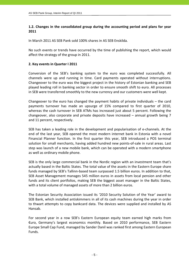## **1.2. Changes in the consolidated group during the accounting period and plans for year 2011**

In March 2011 AS SEB Pank sold 100% shares in AS SEB Enskilda.

No such events or trends have occurred by the time of publishing the report, which would affect the strategy of the group in 2011.

## **2. Key events in Quarter I 2011**

Conversion of the SEB's banking system to the euro was completed successfully. All channels were up and running in time. Card payments operated without interruptions. Changeover to the euro was the biggest project in the history of Estonian banking and SEB played leading roll in banking sector in order to ensure smooth shift to euro. All processes in SEB were transferred smoothly to the new currency and our customers were well kept.

Changeover to the euro has changed the payment habits of private individuals – the card payments turnover has made an upsurge of 15% compared to first quarter of 2010, whereas the cash turnover in SEB ATMs has increased just about 5 percent. Following the changeover, also corporate and private deposits have increased – annual growth being 7 and 11 percent, respectively.

SEB has taken a leading role in the development and popularisation of e‐channels. At the end of the last year, SEB opened the most modern internet bank in Estonia with a novel Financial Planner function. In the first quarter this year, SEB introduced a POS terminal solution for small merchants, having added hundred new points‐of‐sale in rural areas. Last step was launch of a new mobile bank, which can be operated with a modern smartphone as well as ordinary mobile phone.

SEB is the only large commercial bank in the Nordic region with an investment team that's actually based in the Baltic States. The total value of the assets in the Eastern Europe share funds managed by SEB's Tallinn‐based team surpassed 1.5 billion euros. In addition to that, SEB Asset Management manages 545 million euros in assets from local pension and other funds and its client portfolios, making SEB the biggest asset manager in the Baltic States, with a total volume of managed assets of more than 2 billion euros.

The Estonian Security Association issued its '2010 Security Solution of the Year' award to SEB Bank, which installed antiskimmers in all of its cash machines during the year in order to thwart attempts to copy bankcard data. The devices were supplied and installed by AS Hansab.

For second year in a row SEB's Eastern European equity team earned high marks from €uro, Germany's largest economics monthly. Based on 2010 performance, SEB Eastern Europe Small Cap Fund, managed by Sander Danil was ranked first among Eastern European Funds.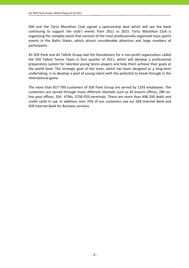SEB and the Tartu Marathon Club signed a sponsorship deal which will see the bank continuing to support the club's events from 2011 to 2015. Tartu Marathon Club is organizing the complex event that consists of the most professionally organised mass sports events in the Baltic States, which attract considerable attention and large numbers of participants.

AS SEB Pank and AS Tallink Grupp laid the foundations for a non‐profit organisation called the SEB Tallink Tennis Team in first quarter of 2011, which will develop a professional preparatory system for talented young tennis players and help them achieve their goals at the world level. The strategic goal of the team, which has been designed as a long‐term undertaking, is to develop a pool of young talent with the potential to break through in the international game.

The more than 817 700 customers of SEB Pank Group are served by 1293 employees. The customers are served through many different channels such as 45 branch offices, 280 on‐ line post offices, 354 ATMs, 5738 POS‐terminals. There are more than 498 200 debit and credit cards in use. In addition, over 74% of our customers use our SEB Internet Bank and SEB Internet Bank for Business services.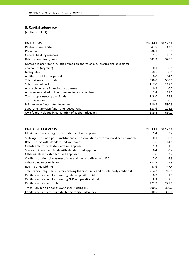## **3. Capital adequacy**

| <b>CAPITAL BASE</b>                                                             | 31.03.11 | 31.12.10 |
|---------------------------------------------------------------------------------|----------|----------|
| Paid-in share capital                                                           | 42.5     | 42.5     |
| Premium                                                                         | 86.1     | 86.1     |
| General banking reserves                                                        | 19.5     | 19.6     |
| Retained earnings / loss                                                        | 383.3    | 328.7    |
| Unrealised profit for previous periods on shares of subsidiaries and associated |          |          |
| companies (negative)                                                            | $-0.1$   | $-0.1$   |
| Intangibles                                                                     | $-0.5$   | $-0.5$   |
| Audited profit for the period                                                   | 0.0      | 54.6     |
| Total primary own funds                                                         | 530.8    | 530.9    |
| Subordinated debt                                                               | 117.0    | 117.0    |
| Available for sale financial instruments                                        | 0.2      | 0.2      |
| Allowances and adjustments exceeding expected loss                              | 11.4     | 11.6     |
| Total supplementary own funds                                                   | 128.6    | 128.8    |
| Total deductions                                                                | 0.0      | 0.0      |
| Primary own funds after deductions                                              | 530.8    | 530.9    |
| Supplementary own funds after deductions                                        | 128.6    | 128.8    |
| Own funds included in calculation of capital adequacy                           | 659.4    | 659.7    |

| <b>CAPITAL REQUIREMENTS</b>                                                          | 31.03.11 | 31.12.10 |
|--------------------------------------------------------------------------------------|----------|----------|
| Municipalities and regions with standardised approach                                | 5.4      | 5.4      |
| State agencies, non-profit institutions and associations with standardised approach  | 0.1      | 0.1      |
| Retail claims with standardised approach                                             | 13.6     | 14.1     |
| Overdue claims with standardised approach                                            | 1.3      | 1.3      |
| Shares of investment funds with standardised approach                                | 0.4      | 0.4      |
| Other assets with standardised approach                                              | 3.6      | 3.2      |
| Credit institutions, investment firms and municipalities with IRB                    | 5.0      | 4.9      |
| Other companies with IRB                                                             | 137.7    | 141.3    |
| Retail claims with IRB                                                               | 47.6     | 47.4     |
| Total capital requirements for covering the credit risk and counterparty credit risk | 214.7    | 218.1    |
| Capital requirement for covering interest position risk                              | 0.9      | 1.3      |
| Capital requirement for covering AMA of operational risk                             | 8.3      | 8.4      |
| Capital requirements total                                                           | 223.9    | 227.8    |
| Transition period floor of own funds if using IRB                                    | 300.5    | 300.0    |
| Capital requirements for calculating capital adequacy                                | 300.5    | 300.0    |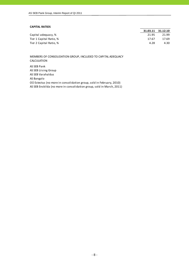#### **CAPITAL RATIOS**

|                         |       | 31.03.11 31.12.10 |
|-------------------------|-------|-------------------|
| Capital adequacy, %     | 21.95 | 21.99             |
| Tier 1 Capital Ratio, % | 17.67 | 17.69             |
| Tier 2 Capital Ratio, % | 4.28  | 4.30              |

MEMBERS OF CONSOLIDATION GROUP, INCLUDED TO CAPITAL ADEQUACY CALCULATION

AS SEB Pank AS SEB Liising Group AS SEB Varahaldus AS Bangalo OÜ Estectus (no more in consolidation group, sold in February, 2010) AS SEB Enskilda (no more in consolidation group, sold in March, 2011)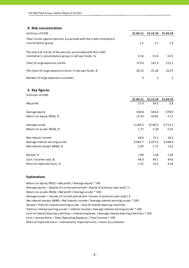## **4. Risk concentration**

| (millions of EUR)                                                                                                       | 31.03.11 | 31.12.10 | 31.03.10 |
|-------------------------------------------------------------------------------------------------------------------------|----------|----------|----------|
| Total claims against persons associated with the credit institution's<br>consolidation group                            | 1.1      | 1.1      | 1.4      |
| The share of claims of the persons associated with the credit<br>institution's consolidation group in net own funds, %, | 0.16     | 0.16     | 0.21     |
| Total of large exposure claims                                                                                          | 175.0    | 167.3    | 213.1    |
| The share of large exposure claims in net own funds, %                                                                  | 26.55    | 25.36    | 32.47    |
| Number of large exposure customers                                                                                      | 3        | 3        | 3        |

#### **5. Key figures**  $(m,11)$  so  $(m,11)$

| (ILIIIIIUIIS UL EUN)            |          |          |          |
|---------------------------------|----------|----------|----------|
|                                 | 31.03.11 | 31.12.10 | 31.03.10 |
| Net profit                      | 17.9     | 54.5     | 3.8      |
| Average equity                  | 540.8    | 504.4    | 478.9    |
| Return on equity (ROE), %       | 13.24    | 10.81    | 3.17     |
| Average assets                  | 4,183.5  | 4,540.3  | 4,713.3  |
| Return on assets (ROA), %       | 1.71     | 1.20     | 0.32     |
| Net interest income             | 20.6     | 75.2     | 18.3     |
| Average interest earning assets | 4,045.7  | 4,375.9  | 4,548.0  |
| Net interest margin (NIM), %    | 2.04     | 1.72     | 1.61     |
| Spread, %                       | 1.90     | 1.58     | 1.46     |
| Cost / Income ratio, &          | 48.8     | 49.1     | 49.6     |
| Ratio of impaired loans, %      | 3.31     | 3.51     | 4.26     |
|                                 |          |          |          |

#### **Explanations**

Return on equity (ROE) = Net profit / Average equity \* 100 Average equity = (Equity of current period end + Equity of previous year end) / 2 Return on assets (ROA) = Net profit / Average assets \* 100 Average assets = (Assets of current period end + Assets of previous year end) / 2 Cost of interest bearing liabilities = Interest expenses / Average interest bearing liabilities \* 100 Cost / Income Ratio = Total Operating Expenses / Total Income \* 100 Spread = Yield on interest earning assets ‐ Cost of interest bearing liabilities Ratio of impaired loans = Individually impaired loans / Loans to customers Net interest margin (NIM) = Net interest income / Average interest earning assets \* 100 Yield on interest earning assets = Interest income / Average interest earning assets \* 100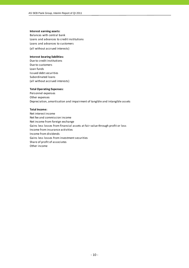#### **Interest earning assets:**

Balances with central bank Loans and advances to credit institutions (all without accrued interests) Loans and advances to customers

#### **Interest bearing liabilities:**

Due to credit institutions Due to customers Loan funds Issued debt securities Subordinated loans (all without accrued interests)

#### **Total Operating Expenses:**

Personnel expenses Other expenses Depreciation, amortisation and impairment of tangible and intangible assets

#### **Total Income:**

Net interest income Net fee and commission income Net income from foreign exchange Gains less losses from financial assets at fair value through profit or loss Income from insurance activities Income from dividends Gains less losses from investment securities Share of profit of associates Other income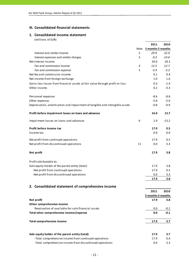## **III. Consolidated financial statements**

## **1. Consolidated income statement**

|                                                                              |                | 2011              | 2010    |
|------------------------------------------------------------------------------|----------------|-------------------|---------|
|                                                                              | Note           | 3 months 3 months |         |
| Interest and similar income                                                  | $\overline{2}$ | 29.9              | 32.9    |
| Interest expenses and similar charges                                        | 3              | $-9.3$            | $-14.6$ |
| Net Interest Income                                                          |                | 20.6              | 18.3    |
| Fee and commission income                                                    | 4              | 12.5              | 12.7    |
| Fee and commission expense                                                   | 5              | $-3.4$            | $-3.3$  |
| Net fee and commission income                                                |                | 9.1               | 9.4     |
| Net income from foreign exchange                                             |                | 1.0               | 1.6     |
| Gains less losses from financial assets at fair value through profit or loss |                | 0.3               | $-1.4$  |
| Other income                                                                 |                | 0.2               | 0.3     |
| Personnel expenses                                                           |                | $-8.6$            | $-8.6$  |
| Other expenses                                                               |                | $-5.8$            | $-5.0$  |
| Depreciation, amortisation and impairment of tangible and intangible assets  |                | $-0.8$            | $-0.9$  |
| Profit before impairment losses on loans and advances                        |                | 16.0              | 13.7    |
| Impairment losses on loans and advances                                      | 6              | 1.9               | $-13.2$ |
| Profit before income tax                                                     |                | 17.9              | 0.5     |
| Income tax                                                                   |                | 0.0               | 0.0     |
| Net profit from continued operations                                         |                | 17.9              | 0.5     |
| Net profit from discontinued operations                                      | 11             | 0.0               | 3.3     |
| Net profit                                                                   |                | 17.9              | 3.8     |
| Profit attributable to:                                                      |                |                   |         |
| Sole equity holder of the parent entity (total)                              |                | 17.9              | 3.8     |
| -Net profit from continued operations                                        |                | 17.9              | 0.5     |
| -Net profit from discontinued operations                                     |                | 0.0               | 3.3     |
|                                                                              |                | 17.9              | 3.8     |
| 2. Consolidated statement of comprehensive income                            |                |                   |         |
|                                                                              |                | 2011              | 2010    |
|                                                                              |                | 3 months 3 months |         |
| Net profit                                                                   |                | 17.9              | 3.8     |
| Other comprehensive income                                                   |                |                   |         |
| Revaluation of available-for-sale financial assets                           |                | 0.0               | $-0.1$  |
| Total other comprehensive income/expense                                     |                | 0.0               | $-0.1$  |
| <b>Total comprehensive income</b>                                            |                | 17.9              | 3.7     |
|                                                                              |                |                   |         |
| Sole equity holder of the parent entity (total)                              |                | 17.9              | 3.7     |
| -Total comprehensive income from continued operations                        |                | 17.9              | 0.4     |
| -Total comprehensive income from discontinued operations                     |                | 0.0               | 3.3     |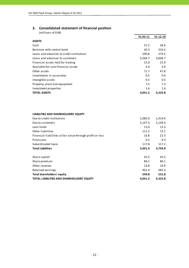## **3. Consolidated statement of financial position**

| (millions of EUR)                         |          |          |
|-------------------------------------------|----------|----------|
|                                           | 31.03.11 | 31.12.10 |
| <b>ASSETS</b>                             |          |          |
| Cash                                      | 37.2     | 38.9     |
| Balances with central bank                | 44.3     | 316.2    |
| Loans and advances to credit institutions | 290.8    | 279.5    |
| Loans and advances to customers           | 3,566.7  | 3,606.7  |
| Financial assets held for trading         | 15.0     | 21.9     |
| Available-for-sale financial assets       | 5.4      | 5.0      |
| Other assets                              | 71.7     | 47.8     |
| Investments in associates                 | 0.5      | 0.4      |
| Intangible assets                         | 0.5      | 0.5      |
| Property, plant and equipment             | 7.5      | 7.3      |
| Investment properties                     | 1.6      | 1.6      |
| <b>TOTAL ASSETS</b>                       | 4.041.2  | 4,325.8  |

### **LIABILITIES AND SHAREHOLDERS' EQUITY**

| Due to credit institutions                                 | 1,085.0 | 1,419.4 |
|------------------------------------------------------------|---------|---------|
| Due to customers                                           | 2,147.4 | 2,149.4 |
| Loan funds                                                 | 13.0    | 13.3    |
| Other liabilities                                          | 111.2   | 72.1    |
| Financial liabilities at fair value through profit or loss | 16.8    | 22.3    |
| Provisions                                                 | 0.2     | 0.3     |
| Subordinated loans                                         | 117.8   | 117.2   |
| <b>Total Liabilities</b>                                   | 3,491.4 | 3,794.0 |
| Share capital                                              | 42.5    | 42.5    |
| Share premium                                              | 86.1    | 86.1    |
| Other reserves                                             | 19.8    | 19.9    |
| Retained earnings                                          | 401.4   | 383.3   |
| Total shareholders' equity                                 | 549.8   | 531.8   |
| TOTAL LIABILITIES AND SHAREHOLDERS' EQUITY                 | 4.041.2 | 4,325.8 |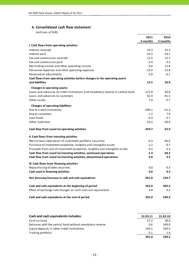## **4. Consolidated cash flow statement**

|                                                                                 | 2011     | 2010     |
|---------------------------------------------------------------------------------|----------|----------|
|                                                                                 | 3 months | 3 months |
| I. Cash flows from operating activities                                         |          |          |
| Interest received                                                               | 29.3     | 32.3     |
| Interest paid                                                                   | $-10.1$  | $-14.7$  |
| Fee and commission received                                                     | 12.5     | 12.7     |
| Fee and commission paid                                                         | $-3.4$   | $-3.3$   |
| Net trading income and other operating income                                   | 0.6      | 12.8     |
| Personnel expenses and other operating expenses                                 | $-13.4$  | $-12.8$  |
| Revaluation adjustments                                                         | 0.0      | $-0.1$   |
| Cash flows from operating activities before changes in the operating assets     |          |          |
| and liabilities                                                                 | 15.5     | 26.9     |
| <b>Changes in operating assets:</b>                                             |          |          |
| Loans and advances to credit institutions and mandatory reserve in central bank | $-122.8$ | 40.8     |
| Loans and advances to customers                                                 | 42.4     | 81.5     |
| Other assets                                                                    | 7.0      | 0.7      |
|                                                                                 |          |          |
| <b>Changes of operating liabilities:</b><br>Due to credit institutions          | $-290.1$ | $-52.3$  |
| Due to customers                                                                | $-1.2$   | 7.9      |
| Loan funds                                                                      | $-0.3$   | $-2.7$   |
| Other liabilities                                                               | $-10.2$  | $-39.9$  |
|                                                                                 |          |          |
| Cash flow from (used in) operating activities                                   | $-359.7$ | 62.9     |
| II. Cash flows from investing activities                                        |          |          |
| Net increase-/decrease+ of investment portfolio securities                      | $-0.3$   | 66.6     |
| Purchase of investment properties, tangible and intangible assets               | $-1.2$   | $-0.7$   |
| Proceeds from sale of investment properties, tangible and intangible assets     | 0.2      | 2.3      |
| Cash flow from (used in) investing activities, continued operations             | $-1.3$   | 68.2     |
| Cash flow from (used in) investing activities, discontinued operations          | 0.0      | 3.3      |
| III. Cash flows from financing activities                                       |          |          |
| Repurchasing of debt securities                                                 | 0.0      | 0.3      |
| Cash used in financing activities                                               | 0.0      | 0.3      |
|                                                                                 |          |          |
| Net decrease/increase in cash and cash equivalents                              | $-361.0$ | 134.7    |
| Cash and cash equivalents at the beginning of period                            | 562.0    | 405.3    |
| Effect of exchange rate changes on cash and cash equivalents                    | 0.0      | 0.2      |
| Cash and cash equivalents at the end of period                                  | 201.0    | 540.2    |

| Cash and cash equivalents includes:                      | 31.03.11 | 31.03.10 |
|----------------------------------------------------------|----------|----------|
| Cash on hand                                             | 37.2     | 38.4     |
| Balances with the central bank without mandatory reserve | 0.6      | 169.9    |
| Liquid deposits in other credit institutions             | 163.1    | 330.5    |
| Trading portfolio                                        | 0.1      | 1.4      |
|                                                          | 201.0    | 540.2    |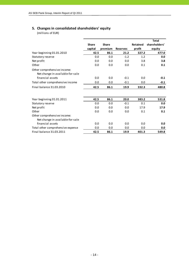## **5. Changes in consolidated shareholders' equity**

|                                                                 |              |              |                 |                 | <b>Total</b>  |
|-----------------------------------------------------------------|--------------|--------------|-----------------|-----------------|---------------|
|                                                                 | <b>Share</b> | <b>Share</b> |                 | <b>Retained</b> | shareholders' |
|                                                                 | capital      | premium      | <b>Reserves</b> | profit          | equity        |
| Year beginning 01.01.2010                                       | 42.5         | 86.1         | 21.2            | 327.2           | 477.0         |
| Statutory reserve                                               | 0.0          | 0.0          | $-1.2$          | 1.2             | 0.0           |
| Net profit                                                      | 0.0          | 0.0          | 0.0             | 3.8             | 3.8           |
| Other                                                           | 0.0          | 0.0          | 0.0             | 0.1             | 0.1           |
| Other comprehensive income:<br>Net change in available-for-sale |              |              |                 |                 |               |
| financial assets                                                | 0.0          | 0.0          | $-0.1$          | 0.0             | $-0.1$        |
| Total other comprehensive income                                | 0.0          | 0.0          | $-0.1$          | 0.0             | $-0.1$        |
| Final balance 31.03.2010                                        | 42.5         | 86.1         | 19.9            | 332.3           | 480.8         |
|                                                                 |              |              |                 |                 |               |
| Year beginning 01.01.2011                                       | 42.5         | 86.1         | 20.0            | 383.2           | 531.8         |
| Statutory reserve                                               | 0.0          | 0.0          | $-0.1$          | 0.1             | 0.0           |
| Net profit                                                      | 0.0          | 0.0          | 0.0             | 17.9            | 17.9          |
| Other                                                           | 0.0          | 0.0          | 0.0             | 0.1             | 0.1           |
| Other comprehensive income:                                     |              |              |                 |                 |               |
| Net change in available-for-sale                                |              |              |                 |                 |               |
| financial assets                                                | 0.0          | 0.0          | 0.0             | 0.0             | 0.0           |
| Total other comprehensive expense                               | 0.0          | 0.0          | 0.0             | 0.0             | 0.0           |
| Final balance 31.03.2011                                        | 42.5         | 86.1         | 19.9            | 401.3           | 549.8         |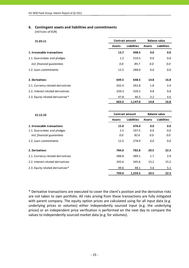## **6. Contingent assets and liabilities and commitments**

(millions of EUR)

| 31.03.11                          | <b>Contract amount</b> |                    | <b>Balance value</b> |                    |  |
|-----------------------------------|------------------------|--------------------|----------------------|--------------------|--|
|                                   | <b>Assets</b>          | <b>Liabilities</b> | <b>Assets</b>        | <b>Liabilities</b> |  |
| 1. Irrevocable transactions       | 13.7                   | 498.5              | 0.0                  | 0.0                |  |
| 1.1. Guarantees and pledges       | 1.2                    | 210.5              | 0.0                  | 0.0                |  |
| incl. financial guarantees        | 0.0                    | 89.7               | 0.0                  | 0.0                |  |
| 1.2. Loan commitments             | 12.5                   | 288.0              | 0.0                  | 0.0                |  |
| 2. Derivatives                    | 649.5                  | 648.5              | 14.8                 | 16.8               |  |
| 2.1. Currency related derivatives | 262.4                  | 262.8              | 1.8                  | 2.4                |  |
| 2.2. Interest related derivatives | 339.3                  | 339.2              | 9.8                  | 9.8                |  |
| 2.3. Equity related derivatives*  | 47.8                   | 46.5               | 3.2                  | 4.6                |  |
|                                   | 663.2                  | 1,147.0            | 14.8                 | 16.8               |  |

| 31.12.10                          | <b>Contract amount</b> |                    |               | <b>Balance value</b> |  |  |
|-----------------------------------|------------------------|--------------------|---------------|----------------------|--|--|
|                                   | <b>Assets</b>          | <b>Liabilities</b> | <b>Assets</b> | <b>Liabilities</b>   |  |  |
| 1. Irrevocable transactions       | 15.0                   | 476.4              | 0.0           | 0.0                  |  |  |
| 1.1. Guarantees and pledges       | 2.5                    | 197.5              | 0.0           | 0.0                  |  |  |
| incl. financial guarantees        | 0.0                    | 82.6               | 0.0           | 0.0                  |  |  |
| 1.2. Loan commitments             | 12.5                   | 278.9              | 0.0           | 0.0                  |  |  |
| 2. Derivatives                    | 784.0                  | 782.8              | 20.5          | 22.3                 |  |  |
| 2.1. Currency related derivatives | 388.8                  | 389.1              | 1.7           | 2.0                  |  |  |
| 2.2. Interest related derivatives | 345.6                  | 345.6              | 15.2          | 15.2                 |  |  |
| 2.3. Equity related derivatives*  | 49.6                   | 48.1               | 3.6           | 5.1                  |  |  |
|                                   | 799.0                  | 1,259.2            | 20.5          | 22.3                 |  |  |

\* Derivative transactions are executed to cover the client's position and the derivative risks are not taken to own portfolio. All risks arising from these transactions are fully mitigated with parent company. The equity option prices are calculated using for all input data (e.g. underlying prices or volumes) either independently sourced input (e.g. the underlying prices) or an independent price verification is performed on the next day to compare the values to independently sourced market data (e.g. for volumes).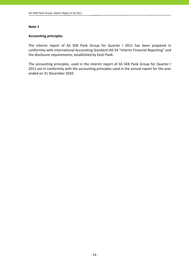## **Accounting principles**

The interim report of AS SEB Pank Group for Quarter I 2011 has been prepared in conformity with International Accounting Standard IAS 34 "Interim Financial Reporting" and the disclosure requirements, established by Eesti Pank.

The accounting principles, used in the interim report of AS SEB Pank Group for Quarter I 2011 are in conformity with the accounting principles used in the annual report for the year ended on 31 December 2010.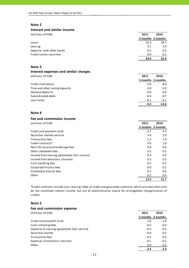#### **Interest and similar income**

| (millions of EUR)         | 2011 | 2010              |
|---------------------------|------|-------------------|
|                           |      | 3 months 3 months |
| Loans                     | 25.3 | 28.7              |
| Leasing                   | 4.1  | 3.9               |
| Deposits with other banks | 0.5  | 0.2               |
| Fixed income securities   | 0.0  | 0.1               |
|                           | 29.9 | 32.9              |

## **Note 3**

# **Interest expenses and similar charges**

| (millions of EUR)              | 2011   | 2010              |
|--------------------------------|--------|-------------------|
|                                |        | 3 months 3 months |
| Credit institutions            | $-5.8$ | $-8.0$            |
| Time and other saving deposits | $-2.0$ | $-5.0$            |
| Demand deposits                | $-0.8$ | $-0.8$            |
| Subordinated debts             | $-0.6$ | $-0.7$            |
| Loan funds                     | $-0.1$ | $-0.1$            |
|                                | $-9.3$ | $-14.6$           |

#### **Note 4**

#### **Fee and commission income**

| (millions of EUR)                             | 2011 | 2010              |
|-----------------------------------------------|------|-------------------|
|                                               |      | 3 months 3 months |
| Credit and payment cards                      | 4.7  | 4.4               |
| Securities market services                    | 3.4  | 2.9               |
| <b>Transaction fees</b>                       | 1.2  | 1.8               |
| Credit contracts*                             | 0.9  | 1.0               |
| Non-life insurance brokerage fees             | 0.6  | 0.6               |
| Other settlement fees                         | 0.5  | 0.5               |
| Income from leasing agreements (full service) | 0.4  | 0.4               |
| Income from electronic channels               | 0.3  | 0.3               |
| Cash handling fees                            | 0.2  | 0.2               |
| Corporate Finance fees                        | 0.0  | 0.2               |
| Commodity futures fees                        | 0.1  | 0.0               |
| Other                                         | 0.2  | 0.4               |
|                                               | 12.5 | 12.7              |

\*Credit contracts include loan, leasing, letter of credit and guarantee contracts, which are short‐term and do not constitute interest income, but are of administrative nature for arrangement reorganisation of credits.

## **Note 5**

| Fee and commission expense                    |        |                   |
|-----------------------------------------------|--------|-------------------|
| (millions of EUR)                             | 2011   | 2010              |
|                                               |        | 3 months 3 months |
| Credit and payment cards                      | $-1.8$ | $-1.6$            |
| Cash collecting fees                          | $-0.5$ | $-0.4$            |
| Expenses to leasing agreements (full service) | $-0.4$ | $-0.3$            |
| Securities market                             | $-0.4$ | $-0.3$            |
| <b>Transaction fees</b>                       | $-0.2$ | $-0.3$            |
| Expenses of electronic channels               | $-0.1$ | $-0.2$            |
| Other                                         | 0.0    | $-0.2$            |
|                                               | $-3.4$ | $-3.3$            |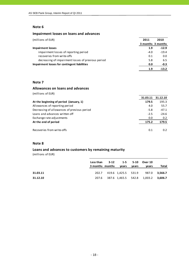## **Impairment losses on loans and advances**

| (millions of EUR)                                  | 2011   | 2010              |
|----------------------------------------------------|--------|-------------------|
|                                                    |        | 3 months 3 months |
| <b>Impairment losses</b>                           | 1.9    | $-12.9$           |
| impairment losses of reporting period              | $-4.0$ | $-19.4$           |
| recoveries from write-offs                         | 0.1    | 0.0               |
| decreasing of impairment losses of previous period | 5.8    | 6.5               |
| Impairment losses for contingent liabilities       | 0.0    | -0.3              |
|                                                    | 1.9    | $-13.2$           |

## **Note 7**

#### **Allowances on loans and advances**

| (millions of EUR)                           |          |          |
|---------------------------------------------|----------|----------|
|                                             | 31.03.11 | 31.12.10 |
| At the beginning of period (January, 1)     | 179.5    | 195.3    |
| Allowances of reporting period              | 4.0      | 55.7     |
| Decreasing of allowances of previous period | $-5.8$   | $-47.1$  |
| Loans and advances written off              | $-2.5$   | $-24.6$  |
| Exchange rate adjustments                   | 0.0      | 0.2      |
| At the end of period                        | 175.2    | 179.5    |
| Recoveries from write-offs                  | 0.1      | 0.2      |

## **Note 8**

## **Loans and advances to customers by remaining maturity**

|          | Less than 3-12 1-5 5-10 Over 10<br>3 months months years |  | vears | vears                                     | Total |
|----------|----------------------------------------------------------|--|-------|-------------------------------------------|-------|
| 31.03.11 |                                                          |  |       | 202.7 419.6 1,425.5 531.9 987.0 3,566.7   |       |
| 31.12.10 |                                                          |  |       | 207.6 387.6 1,465.5 542.8 1,003.2 3,606.7 |       |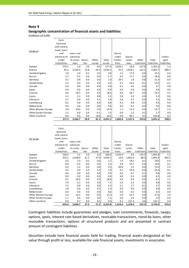#### **Geographic concentration of financial assets and liabilities**

(millions of EUR)

|                                 | Cash,                 |                   |             |               |                 |                  |                 |                      |                        |                    |
|---------------------------------|-----------------------|-------------------|-------------|---------------|-----------------|------------------|-----------------|----------------------|------------------------|--------------------|
|                                 | balances              |                   |             |               |                 |                  |                 |                      |                        |                    |
|                                 | with central          |                   |             |               |                 |                  |                 |                      |                        |                    |
| 31.03.11                        | bank, loans           |                   |             |               |                 |                  |                 |                      |                        |                    |
|                                 | and                   | Loans and         |             |               |                 | Due to           |                 |                      |                        |                    |
|                                 | advances to           | advances          |             |               |                 | credit           | Due to          |                      |                        | Contin-            |
|                                 | credit                | to custo- Securi- |             | Other         | Total           | institu-         | custo-          | Other                | Total                  | gent               |
| Sweden                          | institutions<br>270.1 | mers<br>1.9       | ties<br>5.0 | assets<br>0.4 | assets<br>277.4 | tions<br>1,023.1 | mers<br>10.9    | liabilities<br>127.6 | liabilities<br>1,161.6 | liabilities<br>1.3 |
| Estonia                         | 81.6                  | 3,530.4           | 14.8        | 66.5          | 3,693.3         | 25.3             | 1,918.1         | 122.3                | 2,065.7                | 486.3              |
| United Kingdom                  | 1.8                   | 1.9               | 0.1         | 0.0           | 3.8             | 1.2              | 17.9            | 0.0                  | 19.1                   | 0.4                |
|                                 | 2.2                   | 0.5               | 0.0         | 0.0           | 2.7             | 0.3              | 17.7            | 0.0                  | 18.0                   | 0.0                |
| Russia                          | 0.2                   |                   |             | 0.0           |                 |                  | 1.9             |                      |                        | 6.9                |
| Germany<br><b>United States</b> | 3.3                   | 0.8<br>0.9        | 0.0<br>0.4  | 0.0           | 1.0             | 29.5<br>0.1      | 52.6            | 0.0                  | 31.4                   | 0.1                |
|                                 |                       |                   |             |               | 4.6             |                  |                 | $-0.1$               | 52.6                   |                    |
| Canada                          | 0.0                   | 0.0               | 0.0         | 0.0           | 0.0             | 0.1              | 0.6             | 0.0                  | 0.7                    | 0.0                |
| Japan                           | 0.0                   | 0.0               | 0.0         | 0.0           | 0.0             | 0.0              | 0.4             | 0.0                  | 0.4                    | 0.0                |
| Finland                         | 0.0                   | 18.5              | 0.0         | 0.0           | 18.5            | 0.0              | 10.7            | 0.0                  | 10.7                   | 2.1                |
| Latvia                          | 5.2                   | 0.1               | 0.0         | 0.0           | 5.3             | 2.8              | 2.4             | 0.0                  | 5.2                    | 0.0                |
| Lithuania                       | 2.7                   | 0.0               | 0.0         | 0.1           | 2.8             | 0.6              | 4.7             | 0.0                  | 5.3                    | 0.0                |
| Luxembourg                      | 0.2                   | 0.0               | 0.0         | 0.6           | 0.8             | 0.3              | 0.0             | 0.0                  | 0.3                    | 0.0                |
| Netherlands                     | 0.0                   | 0.6               | 0.0         | 0.0           | 0.6             | 0.0              | 0.2             | 0.0                  | 0.2                    | 0.0                |
| Other Western Europe            | 3.8                   | 10.6              | 0.0         | 0.0           | 14.4            | 1.3              | 11.4            | 0.0                  | 12.7                   | 1.3                |
| Other Eastern Europe            | 1.2                   | 0.0               | 0.4         | $-0.1$        | 1.5             | 0.4              | 1.2             | 0.1                  | 1.7                    | 0.0                |
|                                 |                       |                   |             |               |                 |                  |                 |                      |                        |                    |
| Other countries                 | 0.0                   | 0.5               | 0.2         | 13.8          | 14.5            | 0.0              | 96.7            | 9.1                  | 105.8                  | 0.1                |
|                                 | 372.3                 | 3,566.7           | 20.9        | 81.3          | 4,041.2         | 1,085.0          | 2,147.4         | 259.0                | 3,491.4                | 498.5              |
|                                 |                       |                   |             |               |                 |                  |                 |                      |                        |                    |
|                                 | Cash,                 |                   |             |               |                 |                  |                 |                      |                        |                    |
|                                 | balances              |                   |             |               |                 |                  |                 |                      |                        |                    |
|                                 | with central          |                   |             |               |                 |                  |                 |                      |                        |                    |
|                                 |                       |                   |             |               |                 |                  |                 |                      |                        |                    |
| 31.12.10                        | bank, loans<br>and    | Loans and         |             |               |                 | Due to           |                 |                      |                        |                    |
|                                 |                       |                   |             |               |                 |                  |                 |                      |                        |                    |
|                                 | advances to           | advances          |             |               |                 | credit           | Due to          |                      |                        | Contin-            |
|                                 | credit                | to custo- Securi- |             | Other         | Total           | institu-         | custo-          | Other                | Total                  | gent               |
|                                 | institutions          | mers              | ties        | assets        | assets          | tions            | mers            | liabilities          | liabilities            | liabilities        |
| Sweden                          | 258.5                 | 2.2               | 5.6         | 0.3           | 266.6           | 1,324.0          | 9.6             | 132.2                | 1,465.8                | 1.2                |
| Estonia                         | 355.2<br>0.6          | 3,568.9<br>1.9    | 21.2<br>0.2 | 47.9          | 3,993.2         | 14.6<br>1.4      | 1,891.0<br>28.3 | 88.3<br>0.1          | 1,993.9<br>29.8        | 465.5              |
| United Kingdom                  |                       |                   |             | 0.0           | 2.7             |                  |                 |                      |                        | 0.3                |
| Russia                          | 0.8<br>0.3            | 0.5<br>2.2        | 0.0<br>0.0  | 0.0<br>0.0    | 1.3<br>2.5      | 0.9<br>69.9      | 15.7<br>3.5     | 0.0<br>0.0           | 16.6<br>73.4           | 0.1<br>5.5         |
| Germany<br><b>United States</b> | 0.5                   | 0.9               | 0.3         | 0.2           | 1.9             | 0.1              | 24.9            | 0.0                  | 25.0                   | 0.1                |
| Canada                          | 0.0                   | 0.0               | 0.0         | 0.0           | 0.0             | 0.0              | 0.7             | 0.1                  | 0.8                    | 0.0                |
| Japan                           | 0.0                   | 0.0               | 0.0         | 0.0           | 0.0             | 0.0              | 0.2             | 0.0                  | 0.2                    | 0.0                |
| Finland                         | 0.2                   | 18.6              | 0.0         | 0.0           | 18.8            | 0.0              | 8.5             | 0.0                  | 8.5                    | 2.1                |
| Latvia                          | 7.0                   | 0.1               | 0.0         | 0.0           | 7.1             | 2.4              | 2.4             | 0.0                  | 4.8                    | 0.0                |
| Lithuania                       | 3.3                   | 0.0               | 0.0         | 0.0           | 3.3             | 2.1              | 1.7             | $-0.1$               | 3.7                    | 0.0                |

Contingent liabilities include guarantees and pledges, loan commitments, forwards, swaps, options, spots, interest rate based derivatives, revocable transactions, stand‐by loans, other revocable transactions, options of structured products and are presented in contract amount of contingent liabilities.

Netherlands 0.0 0.6 0.0 0.0 0.6 0.0 0.2 0.0 0.2 0.0 Other Western Europe 5.3 10.1 0.0 0.0 15.4 3.9 23.7 0.0 27.6 1.6 0.0 1.6 0.0 1.6 0.0 Other Eastern Europe 1.1 0.0 0.0 0.0 1.1 0.0 1.6 0.0 1.6 0.0<br>Other countries 0.0 0.7 0.0 8.3 9.0 0.1 137.4 4.6 142.1 0.0 Other countries 0.0 0.7 0.0 8.3 9.0 0.1 137.4 4.6 142.1 0.0

**634.6 3,606.7 27.3 57.2 4,325.8 1,419.4 2,149.4 225.2 3,794.0 476.4**

Securities include here financial assets held for trading, financial assets designated at fair value through profit or loss, available‐for‐sale financial assets, investments in associates.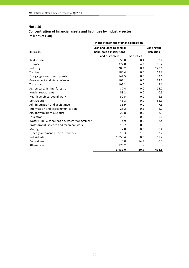## **Concentration of financial assets and liabilities by industry sector** (millions of EUR)

|                                              | In the statement of financial position                 |                   |                                  |
|----------------------------------------------|--------------------------------------------------------|-------------------|----------------------------------|
| 31.03.11                                     | Cash and loans to central<br>bank, credit institutions |                   | Contingent<br><b>liabilities</b> |
|                                              | and customers                                          | <b>Securities</b> |                                  |
| Real estate                                  | 655.8                                                  | 0.1               | 9.7                              |
| Finance                                      | 377.0                                                  | 4.2               | 16.2                             |
| Industry                                     | 288.2                                                  | 0.2               | 120.6                            |
| Trading                                      | 180.4                                                  | 0.0               | 69.8                             |
| Energy, gas and steam plants                 | 144.5                                                  | 0.0               | 32.6                             |
| Government and state defence                 | 108.1                                                  | 0.0               | 22.1                             |
| Transport                                    | 105.2                                                  | 0.0               | 49.1                             |
| Agriculture, fishing, forestry               | 87.4                                                   | 0.0               | 15.7                             |
| Hotels, restaurants                          | 53.2                                                   | 0.0               | 0.5                              |
| Health services, social work                 | 50.5                                                   | 0.0               | 6.5                              |
| Construction                                 | 46.3                                                   | 0.0               | 56.3                             |
| Administration and assistance                | 35.9                                                   | 0.0               | 7.3                              |
| Information and telecommunication            | 28.2                                                   | 0.5               | 6.0                              |
| Art, show business, leisure                  | 26.8                                                   | 0.0               | 2.3                              |
| Education                                    | 26.1                                                   | 0.0               | 5.1                              |
| Water supply, canalisation, waste management | 14.9                                                   | 0.0               | 2.4                              |
| Professional, science and technical work     | 13.2                                                   | 0.0               | 5.0                              |
| Mining                                       | 2.8                                                    | 0.0               | 0.4                              |
| Other government & social services           | 19.3                                                   | 1.0               | 3.7                              |
| Individuals                                  | 1,850.4                                                | 0.0               | 67.2                             |
| Derivatives                                  | 0.0                                                    | 14.9              | 0.0                              |
| Allowances                                   | $-175.2$                                               |                   |                                  |
|                                              | 3,939.0                                                | 20.9              | 498.5                            |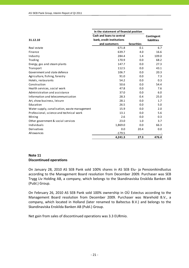|                                              | In the statement of financial position |                   |                    |
|----------------------------------------------|----------------------------------------|-------------------|--------------------|
|                                              | Cash and loans to central              |                   | Contingent         |
| 31.12.10                                     | bank, credit institutions              |                   | <b>liabilities</b> |
|                                              | and customers                          | <b>Securities</b> |                    |
| Real estate                                  | 671.8                                  | 0.1               | 6.7                |
| Finance                                      | 639.7                                  | 4.0               | 16.6               |
| Industry                                     | 284.4                                  | 1.4               | 109.0              |
| Trading                                      | 170.9                                  | 0.0               | 68.2               |
| Energy, gas and steam plants                 | 147.7                                  | 0.0               | 27.3               |
| Transport                                    | 112.5                                  | 0.0               | 43.1               |
| Government and state defence                 | 106.7                                  | 0.0               | 20.3               |
| Agriculture, fishing, forestry               | 91.0                                   | 0.0               | 7.3                |
| Hotels, restaurants                          | 54.2                                   | 0.0               | 0.3                |
| Construction                                 | 50.6                                   | 0.0               | 54.4               |
| Health services, social work                 | 47.8                                   | 0.0               | 7.6                |
| Administration and assistance                | 37.0                                   | 0.0               | 6.0                |
| Information and telecommunication            | 28.3                                   | 0.4               | 25.0               |
| Art, show business, leisure                  | 28.1                                   | 0.0               | 1.7                |
| Education                                    | 26.5                                   | 0.0               | 5.0                |
| Water supply, canalisation, waste management | 15.9                                   | 0.0               | 2.0                |
| Professional, science and technical work     | 13.1                                   | 0.0               | 5.6                |
| Mining                                       | 2.6                                    | 0.0               | 0.3                |
| Other government & social services           | 23.0                                   | 1.0               | 3.7                |
| Individuals                                  | 1,869.0                                | 0.0               | 66.3               |
| Derivatives                                  | 0.0                                    | 20.4              | 0.0                |
| Allowances                                   | $-179.5$                               |                   |                    |
|                                              | 4,241.3                                | 27.3              | 476.4              |

## **Note 11 Discontinued operations**

On January 28, 2010 AS SEB Pank sold 100% shares in AS SEB Elu‐ ja Pensionikindlustus according to the Management Board resolution from December 2009. Purchaser was SEB Trygg Liv Holding AB, a company, which belongs to the Skandinaviska Enskilda Banken AB (Publ.) Group.

On February 26, 2010 AS SEB Pank sold 100% ownership in OÜ Estectus according to the Management Board resolution from December 2009. Purchaser was Warehold B.V., a company, which located in Holland (later renamed to Baltectus B.V.) and belongs to the Skandinaviska Enskilda Banken AB (Publ.) Group.

Net gain from sales of discontinued operations was 3.3 EURmio.